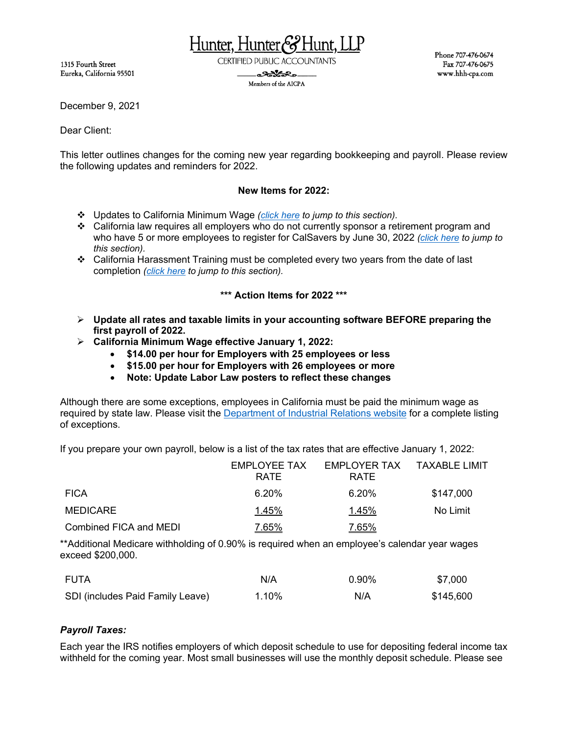1315 Fourth Street Eureka, California 95501 Hunter, Hunter&

**CERTIFIED PUBLIC ACCOUNTANTS** 

. Santa R. Members of the AICPA Phone 707-476-0674 Fax 707-476-0675 www.hhh-cpa.com

December 9, 2021

Dear Client:

This letter outlines changes for the coming new year regarding bookkeeping and payroll. Please review the following updates and reminders for 2022.

### **New Items for 2022:**

- Updates to California Minimum Wage *[\(click here](#page-0-0) to jump to this section).*
- California law requires all employers who do not currently sponsor a retirement program and who have 5 or more employees to register for CalSavers by June 30, 2022 *[\(click here](#page-3-0) to jump to this section).*
- California Harassment Training must be completed every two years from the date of last completion *[\(click here](#page-2-0) to jump to this section).*

### **\*\*\* Action Items for 2022 \*\*\***

- **Update all rates and taxable limits in your accounting software BEFORE preparing the first payroll of 2022.**
- <span id="page-0-0"></span> **California Minimum Wage effective January 1, 2022:**
	- **\$14.00 per hour for Employers with 25 employees or less**
	- **\$15.00 per hour for Employers with 26 employees or more**
	- **Note: Update Labor Law posters to reflect these changes**

Although there are some exceptions, employees in California must be paid the minimum wage as required by state law. Please visit the [Department of Industrial Relations website](http://www.dir.ca.gov/dlse/SB3_FAQ.htm) for a complete listing of exceptions.

If you prepare your own payroll, below is a list of the tax rates that are effective January 1, 2022:

|                        | EMPLOYEE TAX<br><b>RATE</b> | EMPLOYER TAX<br><b>RATE</b> | TAXABLE LIMIT |
|------------------------|-----------------------------|-----------------------------|---------------|
| <b>FICA</b>            | $6.20\%$                    | $6.20\%$                    | \$147,000     |
| MEDICARE               | 1.45%                       | 1.45%                       | No Limit      |
| Combined FICA and MEDI | 7.65%                       | 7.65%                       |               |

\*\*Additional Medicare withholding of 0.90% is required when an employee's calendar year wages exceed \$200,000.

| FUTA                             | N/A   | $0.90\%$ | \$7,000   |
|----------------------------------|-------|----------|-----------|
| SDI (includes Paid Family Leave) | 1.10% | N/A      | \$145,600 |

### *Payroll Taxes:*

Each year the IRS notifies employers of which deposit schedule to use for depositing federal income tax withheld for the coming year. Most small businesses will use the monthly deposit schedule. Please see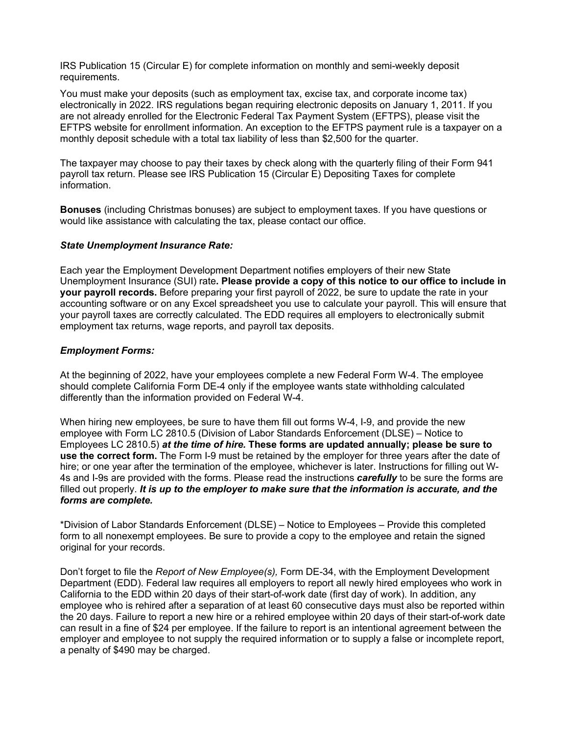IRS Publication 15 (Circular E) for complete information on monthly and semi-weekly deposit requirements.

You must make your deposits (such as employment tax, excise tax, and corporate income tax) electronically in 2022. IRS regulations began requiring electronic deposits on January 1, 2011. If you are not already enrolled for the Electronic Federal Tax Payment System (EFTPS), please visit the EFTPS website for enrollment information. An exception to the EFTPS payment rule is a taxpayer on a monthly deposit schedule with a total tax liability of less than \$2,500 for the quarter.

The taxpayer may choose to pay their taxes by check along with the quarterly filing of their Form 941 payroll tax return. Please see IRS Publication 15 (Circular E) Depositing Taxes for complete information.

**Bonuses** (including Christmas bonuses) are subject to employment taxes. If you have questions or would like assistance with calculating the tax, please contact our office.

#### *State Unemployment Insurance Rate:*

Each year the Employment Development Department notifies employers of their new State Unemployment Insurance (SUI) rate**. Please provide a copy of this notice to our office to include in your payroll records.** Before preparing your first payroll of 2022, be sure to update the rate in your accounting software or on any Excel spreadsheet you use to calculate your payroll. This will ensure that your payroll taxes are correctly calculated. The EDD requires all employers to electronically submit employment tax returns, wage reports, and payroll tax deposits.

#### *Employment Forms:*

At the beginning of 2022, have your employees complete a new Federal Form W-4. The employee should complete California Form DE-4 only if the employee wants state withholding calculated differently than the information provided on Federal W-4.

When hiring new employees, be sure to have them fill out forms W-4, I-9, and provide the new employee with Form LC 2810.5 (Division of Labor Standards Enforcement (DLSE) – Notice to Employees LC 2810.5) *at the time of hire.* **These forms are updated annually; please be sure to use the correct form.** The Form I-9 must be retained by the employer for three years after the date of hire; or one year after the termination of the employee, whichever is later. Instructions for filling out W-4s and I-9s are provided with the forms. Please read the instructions *carefully* to be sure the forms are filled out properly. It is up to the employer to make sure that the information is accurate, and the *forms are complete.*

\*Division of Labor Standards Enforcement (DLSE) – Notice to Employees – Provide this completed form to all nonexempt employees. Be sure to provide a copy to the employee and retain the signed original for your records.

Don't forget to file the *Report of New Employee(s),* Form DE-34, with the Employment Development Department (EDD). Federal law requires all employers to report all newly hired employees who work in California to the EDD within 20 days of their start-of-work date (first day of work). In addition, any employee who is rehired after a separation of at least 60 consecutive days must also be reported within the 20 days. Failure to report a new hire or a rehired employee within 20 days of their start-of-work date can result in a fine of \$24 per employee. If the failure to report is an intentional agreement between the employer and employee to not supply the required information or to supply a false or incomplete report, a penalty of \$490 may be charged.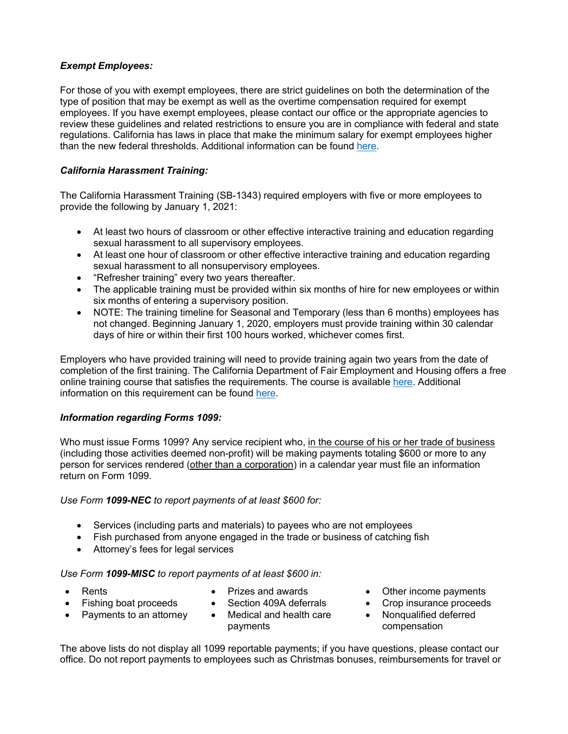# *Exempt Employees:*

For those of you with exempt employees, there are strict guidelines on both the determination of the type of position that may be exempt as well as the overtime compensation required for exempt employees. If you have exempt employees, please contact our office or the appropriate agencies to review these guidelines and related restrictions to ensure you are in compliance with federal and state regulations. California has laws in place that make the minimum salary for exempt employees higher than the new federal thresholds. Additional information can be found [here.](https://www.dir.ca.gov/dlse/faq_overtimeexemptions.htm)

# <span id="page-2-0"></span>*California Harassment Training:*

The California Harassment Training (SB-1343) required employers with five or more employees to provide the following by January 1, 2021:

- At least two hours of classroom or other effective interactive training and education regarding sexual harassment to all supervisory employees.
- At least one hour of classroom or other effective interactive training and education regarding sexual harassment to all nonsupervisory employees.
- "Refresher training" every two years thereafter.
- The applicable training must be provided within six months of hire for new employees or within six months of entering a supervisory position.
- NOTE: The training timeline for Seasonal and Temporary (less than 6 months) employees has not changed. Beginning January 1, 2020, employers must provide training within 30 calendar days of hire or within their first 100 hours worked, whichever comes first.

Employers who have provided training will need to provide training again two years from the date of completion of the first training. The California Department of Fair Employment and Housing offers a free online training course that satisfies the requirements. The course is availabl[e here.](http://www.dfeh.ca.gov/shpt/) Additional information on this requirement can be found [here.](https://www.dfeh.ca.gov/wp-content/uploads/sites/32/2020/05/SHPT4EmployeesFAQ_ENG.pdf)

### *Information regarding Forms 1099:*

Who must issue Forms 1099? Any service recipient who, in the course of his or her trade of business (including those activities deemed non-profit) will be making payments totaling \$600 or more to any person for services rendered (other than a corporation) in a calendar year must file an information return on Form 1099.

### *Use Form 1099-NEC to report payments of at least \$600 for:*

- Services (including parts and materials) to payees who are not employees
- Fish purchased from anyone engaged in the trade or business of catching fish
- Attorney's fees for legal services

### *Use Form 1099-MISC to report payments of at least \$600 in:*

- 
- 
- 
- 
- Payments to an attorney Medical and health care payments
- Rents Prizes and awards Other income payments
- Fishing boat proceeds Section 409A deferrals Crop insurance proceeds
	- Nonqualified deferred compensation

The above lists do not display all 1099 reportable payments; if you have questions, please contact our office. Do not report payments to employees such as Christmas bonuses, reimbursements for travel or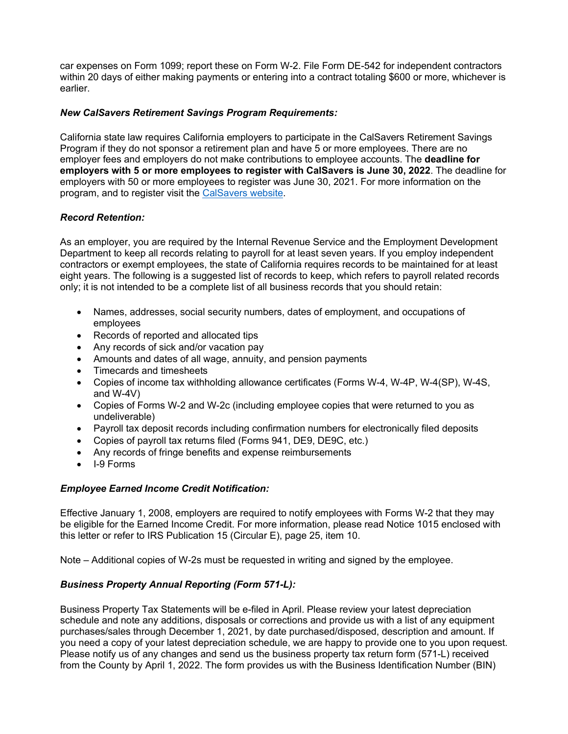car expenses on Form 1099; report these on Form W-2. File Form DE-542 for independent contractors within 20 days of either making payments or entering into a contract totaling \$600 or more, whichever is earlier.

# <span id="page-3-0"></span>*New CalSavers Retirement Savings Program Requirements:*

California state law requires California employers to participate in the CalSavers Retirement Savings Program if they do not sponsor a retirement plan and have 5 or more employees. There are no employer fees and employers do not make contributions to employee accounts. The **deadline for employers with 5 or more employees to register with CalSavers is June 30, 2022**. The deadline for employers with 50 or more employees to register was June 30, 2021. For more information on the program, and to register visit the [CalSavers website.](https://employer.calsavers.com/?language=en)

## *Record Retention:*

As an employer, you are required by the Internal Revenue Service and the Employment Development Department to keep all records relating to payroll for at least seven years. If you employ independent contractors or exempt employees, the state of California requires records to be maintained for at least eight years. The following is a suggested list of records to keep, which refers to payroll related records only; it is not intended to be a complete list of all business records that you should retain:

- Names, addresses, social security numbers, dates of employment, and occupations of employees
- Records of reported and allocated tips
- Any records of sick and/or vacation pay
- Amounts and dates of all wage, annuity, and pension payments
- Timecards and timesheets
- Copies of income tax withholding allowance certificates (Forms W-4, W-4P, W-4(SP), W-4S, and W-4V)
- Copies of Forms W-2 and W-2c (including employee copies that were returned to you as undeliverable)
- Payroll tax deposit records including confirmation numbers for electronically filed deposits
- Copies of payroll tax returns filed (Forms 941, DE9, DE9C, etc.)
- Any records of fringe benefits and expense reimbursements
- I-9 Forms

# *Employee Earned Income Credit Notification:*

Effective January 1, 2008, employers are required to notify employees with Forms W-2 that they may be eligible for the Earned Income Credit. For more information, please read Notice 1015 enclosed with this letter or refer to IRS Publication 15 (Circular E), page 25, item 10.

Note – Additional copies of W-2s must be requested in writing and signed by the employee.

### *Business Property Annual Reporting (Form 571-L):*

Business Property Tax Statements will be e-filed in April. Please review your latest depreciation schedule and note any additions, disposals or corrections and provide us with a list of any equipment purchases/sales through December 1, 2021, by date purchased/disposed, description and amount. If you need a copy of your latest depreciation schedule, we are happy to provide one to you upon request. Please notify us of any changes and send us the business property tax return form (571-L) received from the County by April 1, 2022. The form provides us with the Business Identification Number (BIN)